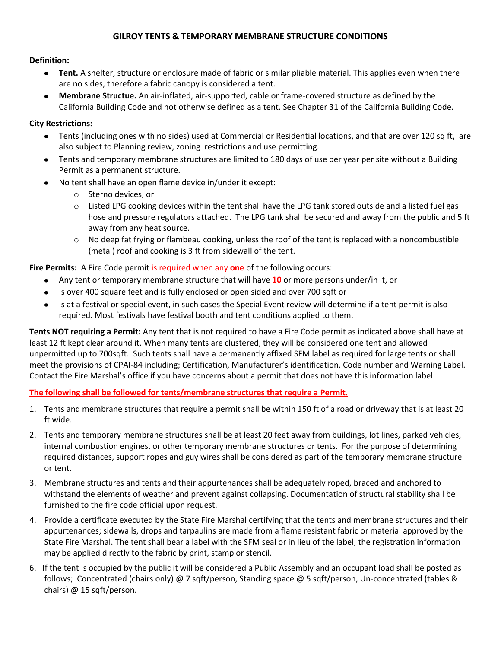## **GILROY TENTS & TEMPORARY MEMBRANE STRUCTURE CONDITIONS**

## **Definition:**

- **Tent.** A shelter, structure or enclosure made of fabric or similar pliable material. This applies even when there  $\bullet$ are no sides, therefore a fabric canopy is considered a tent.
- **Membrane Structue.** An air-inflated, air-supported, cable or frame-covered structure as defined by the California Building Code and not otherwise defined as a tent. See Chapter 31 of the California Building Code.

## **City Restrictions:**

- Tents (including ones with no sides) used at Commercial or Residential locations, and that are over 120 sq ft, are  $\bullet$ also subject to Planning review, zoning restrictions and use permitting.
- Tents and temporary membrane structures are limited to 180 days of use per year per site without a Building Permit as a permanent structure.
- No tent shall have an open flame device in/under it except:  $\bullet$ 
	- o Sterno devices, or
	- o Listed LPG cooking devices within the tent shall have the LPG tank stored outside and a listed fuel gas hose and pressure regulators attached. The LPG tank shall be secured and away from the public and 5 ft away from any heat source.
	- $\circ$  No deep fat frying or flambeau cooking, unless the roof of the tent is replaced with a noncombustible (metal) roof and cooking is 3 ft from sidewall of the tent.

**Fire Permits:** A Fire Code permit is required when any **one** of the following occurs:

- Any tent or temporary membrane structure that will have **10** or more persons under/in it, or  $\bullet$
- Is over 400 square feet and is fully enclosed or open sided and over 700 sqft or  $\bullet$
- Is at a festival or special event, in such cases the Special Event review will determine if a tent permit is also required. Most festivals have festival booth and tent conditions applied to them.

**Tents NOT requiring a Permit:** Any tent that is not required to have a Fire Code permit as indicated above shall have at least 12 ft kept clear around it. When many tents are clustered, they will be considered one tent and allowed unpermitted up to 700sqft. Such tents shall have a permanently affixed SFM label as required for large tents or shall meet the provisions of CPAI-84 including; Certification, Manufacturer's identification, Code number and Warning Label. Contact the Fire Marshal's office if you have concerns about a permit that does not have this information label.

**The following shall be followed for tents/membrane structures that require a Permit.** 

- 1. Tents and membrane structures that require a permit shall be within 150 ft of a road or driveway that is at least 20 ft wide.
- 2. Tents and temporary membrane structures shall be at least 20 feet away from buildings, lot lines, parked vehicles, internal combustion engines, or other temporary membrane structures or tents. For the purpose of determining required distances, support ropes and guy wires shall be considered as part of the temporary membrane structure or tent.
- 3. Membrane structures and tents and their appurtenances shall be adequately roped, braced and anchored to withstand the elements of weather and prevent against collapsing. Documentation of structural stability shall be furnished to the fire code official upon request.
- 4. Provide a certificate executed by the State Fire Marshal certifying that the tents and membrane structures and their appurtenances; sidewalls, drops and tarpaulins are made from a flame resistant fabric or material approved by the State Fire Marshal. The tent shall bear a label with the SFM seal or in lieu of the label, the registration information may be applied directly to the fabric by print, stamp or stencil.
- 6. If the tent is occupied by the public it will be considered a Public Assembly and an occupant load shall be posted as follows; Concentrated (chairs only) @ 7 sqft/person, Standing space @ 5 sqft/person, Un-concentrated (tables & chairs) @ 15 sqft/person.